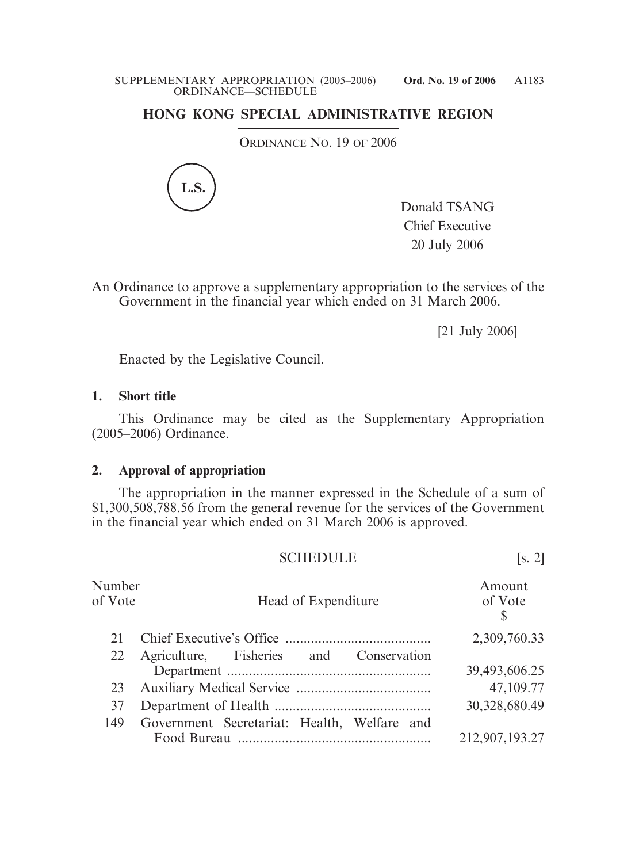## **HONG KONG SPECIAL ADMINISTRATIVE REGION**

ORDINANCE NO. 19 OF 2006



Donald TSANG Chief Executive 20 July 2006

An Ordinance to approve a supplementary appropriation to the services of the Government in the financial year which ended on 31 March 2006.

[21 July 2006]

Enacted by the Legislative Council.

## **1. Short title**

This Ordinance may be cited as the Supplementary Appropriation (2005–2006) Ordinance.

## **2. Approval of appropriation**

The appropriation in the manner expressed in the Schedule of a sum of \$1,300,508,788.56 from the general revenue for the services of the Government in the financial year which ended on 31 March 2006 is approved.

|                   | <b>SCHEDULE</b>                             | [s, 2]                 |
|-------------------|---------------------------------------------|------------------------|
| Number<br>of Vote | Head of Expenditure                         | Amount<br>of Vote<br>S |
| 21                |                                             | 2,309,760.33           |
| 22                | Agriculture, Fisheries and Conservation     | 39,493,606.25          |
| 23                |                                             | 47,109.77              |
| 37                |                                             | 30,328,680.49          |
| 149               | Government Secretariat: Health, Welfare and | 212,907,193.27         |